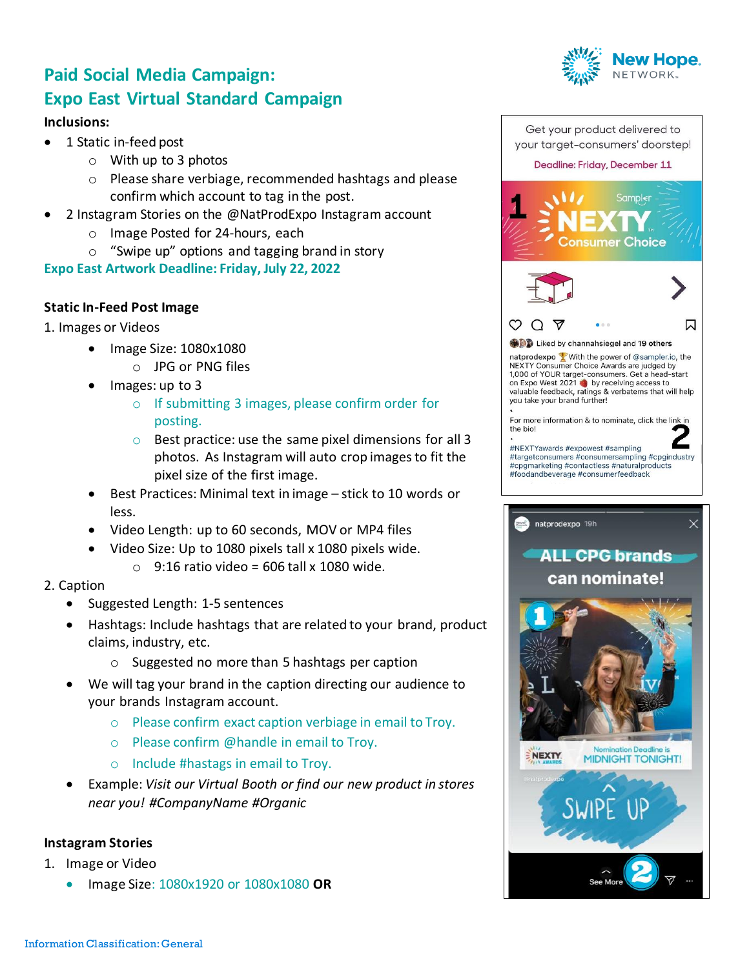# **Paid Social Media Campaign: Expo East Virtual Standard Campaign**

#### **Inclusions:**

- 1 Static in-feed post
	- o With up to 3 photos
	- o Please share verbiage, recommended hashtags and please confirm which account to tag in the post.
- 2 Instagram Stories on the @NatProdExpo Instagram account
	- o Image Posted for 24-hours, each
	- o "Swipe up" options and tagging brand in story

**Expo East Artwork Deadline: Friday, July 22, 2022**

### **Static In-Feed Post Image**

- 1. Images or Videos
	- Image Size: 1080x1080
		- o JPG or PNG files
	- Images: up to 3
		- o If submitting 3 images, please confirm order for posting.
		- $\circ$  Best practice: use the same pixel dimensions for all 3 photos. As Instagram will auto crop images to fit the pixel size of the first image.
	- Best Practices: Minimal text in image stick to 10 words or less.
	- Video Length: up to 60 seconds, MOV or MP4 files
	- Video Size: Up to 1080 pixels tall x 1080 pixels wide.
		- $\circ$  9:16 ratio video = 606 tall x 1080 wide.
- 2. Caption
	- Suggested Length: 1-5 sentences
	- Hashtags: Include hashtags that are related to your brand, product claims, industry, etc.
		- o Suggested no more than 5 hashtags per caption
	- We will tag your brand in the caption directing our audience to your brands Instagram account.
		- o Please confirm exact caption verbiage in email to Troy.
		- o Please confirm @handle in email to Troy.
		- o Include #hastags in email to Troy.
	- Example: *Visit our Virtual Booth or find our new product in stores near you! #CompanyName #Organic*

#### **Instagram Stories**

- 1. Image or Video
	- Image Size: 1080x1920 or 1080x1080 **OR**



nsumer Choice





**ODD** Liked by channahsiegel and 19 others

natprodexpo With the power of @sampler.io, the NEXTY Consumer Choice Awards are judged by 1,000 of YOUR target-consumers. Get a head-start on Expo West 2021 by receiving access to<br>valuable feedback, ratings & verbatems that will help you take your brand further!

For more information & to nominate, click the link in the bio!

#NEXTYawards #expowest #sampling #targetconsumers #consumersampling #cpgindustry #cpgmarketing #contactless #naturalproducts #foodandbeverage #consumerfeedback